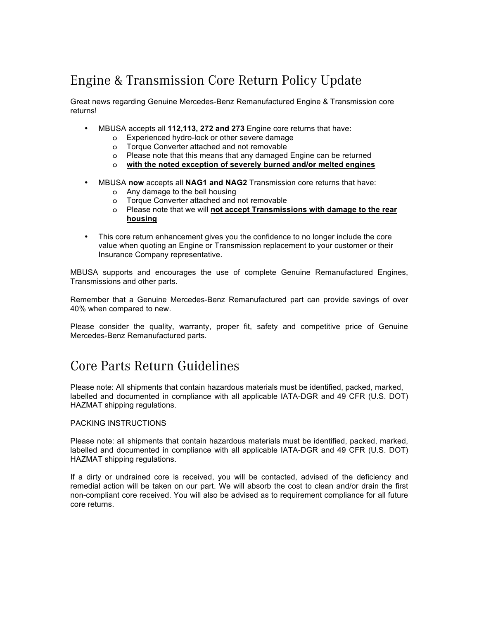## Engine & Transmission Core Return Policy Update

Great news regarding Genuine Mercedes-Benz Remanufactured Engine & Transmission core returns!

- MBUSA accepts all **112,113, 272 and 273** Engine core returns that have:
	- o Experienced hydro-lock or other severe damage
	- o Torque Converter attached and not removable
	- o Please note that this means that any damaged Engine can be returned
	- o **with the noted exception of severely burned and/or melted engines**
- MBUSA **now** accepts all **NAG1 and NAG2** Transmission core returns that have:
	- o Any damage to the bell housing
	- o Torque Converter attached and not removable
	- o Please note that we will **not accept Transmissions with damage to the rear housing**
- This core return enhancement gives you the confidence to no longer include the core value when quoting an Engine or Transmission replacement to your customer or their Insurance Company representative.

MBUSA supports and encourages the use of complete Genuine Remanufactured Engines, Transmissions and other parts.

Remember that a Genuine Mercedes-Benz Remanufactured part can provide savings of over 40% when compared to new.

Please consider the quality, warranty, proper fit, safety and competitive price of Genuine Mercedes-Benz Remanufactured parts.

## Core Parts Return Guidelines

Please note: All shipments that contain hazardous materials must be identified, packed, marked, labelled and documented in compliance with all applicable IATA-DGR and 49 CFR (U.S. DOT) HAZMAT shipping regulations.

## PACKING INSTRUCTIONS

Please note: all shipments that contain hazardous materials must be identified, packed, marked, labelled and documented in compliance with all applicable IATA-DGR and 49 CFR (U.S. DOT) HAZMAT shipping regulations.

If a dirty or undrained core is received, you will be contacted, advised of the deficiency and remedial action will be taken on our part. We will absorb the cost to clean and/or drain the first non-compliant core received. You will also be advised as to requirement compliance for all future core returns.